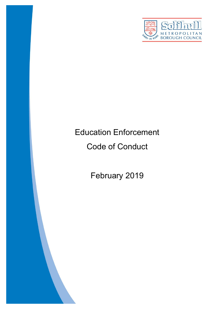

# Education Enforcement

## Code of Conduct

February 2019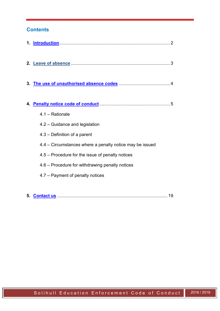## **Contents**

| 4. |                                                          |
|----|----------------------------------------------------------|
|    | 4.1 - Rationale                                          |
|    | 4.2 – Guidance and legislation                           |
|    | 4.3 – Definition of a parent                             |
|    | 4.4 – Circumstances where a penalty notice may be issued |
|    | 4.5 – Procedure for the issue of penalty notices         |
|    | 4.6 – Procedure for withdrawing penalty notices          |
|    | 4.7 – Payment of penalty notices                         |
|    |                                                          |

**5. Contact us** ......................................................................................... 19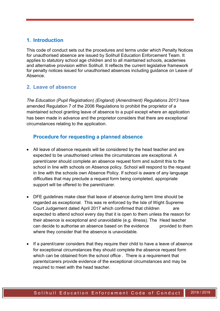## <span id="page-2-0"></span>**1. Introduction**

This code of conduct sets out the procedures and terms under which Penalty Notices for unauthorised absence are issued by Solihull Education Enforcement Team. It applies to statutory school age children and to all maintained schools, academies and alternative provision within Solihull. It reflects the current legislative framework for penalty notices issued for unauthorised absences including guidance on Leave of Absence.

## **2. Leave of absence**

*The Education (Pupil Registration) (England) (Amendment) Regulations 2013* have amended Regulation 7 of the 2006 Regulations to prohibit the proprietor of a maintained school granting leave of absence to a pupil except where an application has been made in advance and the proprietor considers that there are exceptional circumstances relating to the application.

## **Procedure for requesting a planned absence**

- All leave of absence requests will be considered by the head teacher and are expected to be unauthorised unless the circumstances are exceptional. A parent/carer should complete an absence request form and submit this to the school in line with schools on Absence policy. School will respond to the request in line with the schools own Absence Policy. If school is aware of any language difficulties that may preclude a request form being completed, appropriate support will be offered to the parent/carer.
- DFE guidelines make clear that leave of absence during term time should be regarded as exceptional. This was re enforced by the Isle of Wight Supreme Court Judgement dated April 2017 which confirmed that children are expected to attend school every day that it is open to them unless the reason for their absence is exceptional and unavoidable (e.g. illness). The Head teacher can decide to authorise an absence based on the evidence provided to them where they consider that the absence is unavoidable.
- If a parent/carer considers that they require their child to have a leave of absence for exceptional circumstances they should complete the absence request form which can be obtained from the school office . There is a requirement that parents/carers provide evidence of the exceptional circumstances and may be required to meet with the head teacher.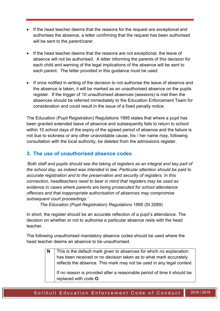- If the head teacher deems that the reasons for the request are exceptional and authorises the absence, a letter confirming that the request has been authorised will be sent to the parent/carer.
- If the head teacher deems that the reasons are not exceptional, the leave of absence will not be authorised. A letter informing the parents of this decision for each child and warning of the legal implications of the absence will be sent to each parent. The letter provided in this guidance must be used.
- If once notified in writing of the decision to not authorise the leave of absence and the absence is taken, it will be marked as an unauthorised absence on the pupils register. If the trigger of 10 unauthorised absences (sessions) is met then the absences should be referred immediately to the Education Enforcement Team for consideration and could result in the issue of a fixed penalty notice.

The Education (Pupil Registration) Regulations 1995 states that where a pupil has been granted extended leave of absence and subsequently fails to return to school within 10 school days of the expiry of the agreed period of absence and the failure is not due to sickness or any other unavoidable cause, his / her name may, following consultation with the local authority, be deleted from the admissions register.

## <span id="page-3-0"></span>**3. The use of unauthorised absence codes**

*'Both staff and pupils should see the taking of registers as an integral and key part of the school day, as indeed was intended in law. Particular attention should be paid to accurate registration and to the preservation and security of registers. In this connection, headteachers need to bear in mind that registers may be used as evidence in cases where parents are being prosecuted for school attendance offences and that inappropriate authorisation of absences may compromise subsequent court proceedings.'* 

*The Education (Pupil Registration) Regulations* 1995 (SI 2089)

In short, the register should be an accurate reflection of a pupil's attendance. The decision on whether or not to authorise a particular absence rests with the head teacher.

The following unauthorised mandatory absence codes should be used where the head teacher deems an absence to be unauthorised.

> **N** This is the default mark given to absences for which no explanation has been received or no decision taken as to what mark accurately reflects the absence. This mark may not be used in any legal context.

If no reason is provided after a reasonable period of time it should be replaced with code **O**.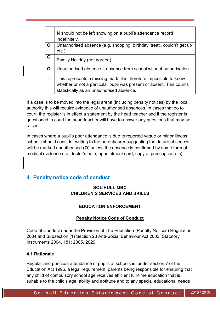|   | N should not be left showing on a pupil's attendance record<br>indefinitely.                                                                                                            |
|---|-----------------------------------------------------------------------------------------------------------------------------------------------------------------------------------------|
| O | Unauthorised absence (e.g. shopping, birthday 'treat', couldn't get up<br>$etc.$ )                                                                                                      |
| G | Family Holiday (not agreed)                                                                                                                                                             |
| O | Unauthorised absence – absence from school without authorisation                                                                                                                        |
|   | This represents a missing mark, it is therefore impossible to know<br>whether or not a particular pupil was present or absent. This counts<br>statistically as an unauthorised absence. |

If a case is to be moved into the legal arena (including penalty notices) by the local authority this will require evidence of unauthorised absences. In cases that go to court, the register is in effect a statement by the head teacher and if the register is questioned in court the head teacher will have to answer any questions that may be raised.

In cases where a pupil's poor attendance is due to reported vague or minor illness schools should consider writing to the parent/carer suggesting that future absences will be marked unauthorised (**O**) unless the absence is confirmed by some form of medical evidence (i.e. doctor's note; appointment card; copy of prescription etc).

## <span id="page-4-0"></span>**4. Penalty notice code of conduct**

#### **SOLIHULL MBC CHILDREN'S SERVICES AND SKILLS**

#### **EDUCATION ENFORCEMENT**

#### **Penalty Notice Code of Conduct**

Code of Conduct under the Provision of The Education (Penalty Notices) Regulation 2004 and Subsection (1) Section 23 Anti-Social Behaviour Act 2003; Statutory Instruments 2004, 181; 2005, 2029.

#### **4.1 Rationale**

Regular and punctual attendance of pupils at schools is, under section 7 of the Education Act 1996, a legal requirement, parents being responsible for ensuring that any child of compulsory school age receives efficient full-time education that is suitable to the child's age, ability and aptitude and to any special educational needs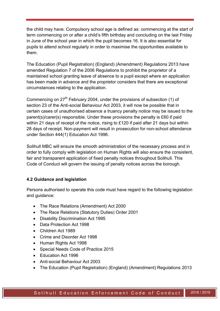the child may have. Compulsory school age is defined as: commencing at the start of term commencing on or after a child's fifth birthday and concluding on the last Friday in June of the school year in which the pupil becomes 16. It is also essential for pupils to attend school regularly in order to maximise the opportunities available to them.

The Education (Pupil Registration) (England) (Amendment) Regulations 2013 have amended Regulation 7 of the 2006 Regulations to prohibit the proprietor of a maintained school granting leave of absence to a pupil except where an application has been made in advance and the proprietor considers that there are exceptional circumstances relating to the application.

Commencing on  $27<sup>th</sup>$  February 2004, under the provisions of subsection (1) of section 23 of the Anti-social Behaviour Act 2003, it will now be possible that in certain cases of unauthorised absence a truancy penalty notice may be issued to the parent(s)/carer(s) responsible. Under these provisions the penalty is £60 if paid within 21 days of receipt of the notice, rising to £120 if paid after 21 days but within 28 days of receipt. Non-payment will result in prosecution for non-school attendance under Section 444(1) Education Act 1996.

Solihull MBC will ensure the smooth administration of the necessary process and in order to fully comply with legislation on Human Rights will also ensure the consistent, fair and transparent application of fixed penalty notices throughout Solihull. This Code of Conduct will govern the issuing of penalty notices across the borough.

#### **4.2 Guidance and legislation**

Persons authorised to operate this code must have regard to the following legislation and guidance:

- The Race Relations (Amendment) Act 2000
- The Race Relations (Statutory Duties) Order 2001
- Disability Discrimination Act 1995
- Data Protection Act 1998
- Children Act 1989
- Crime and Disorder Act 1998
- Human Rights Act 1998
- Special Needs Code of Practice 2015
- Education Act 1996
- Anti-social Behaviour Act 2003
- The Education (Pupil Registration) (England) (Amendment) Regulations 2013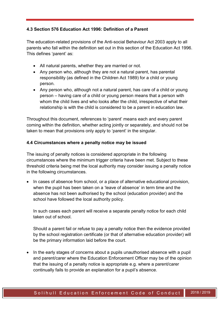#### **4.3 Section 576 Education Act 1996: Definition of a Parent**

The education-related provisions of the Anti-social Behaviour Act 2003 apply to all parents who fall within the definition set out in this section of the Education Act 1996. This defines 'parent' as:

- All natural parents, whether they are married or not.
- Any person who, although they are not a natural parent, has parental responsibility (as defined in the Children Act 1989) for a child or young person.
- Any person who, although not a natural parent, has care of a child or young person – having care of a child or young person means that a person with whom the child lives and who looks after the child, irrespective of what their relationship is with the child is considered to be a parent in education law.

Throughout this document, references to 'parent' means each and every parent coming within the definition, whether acting jointly or separately, and should not be taken to mean that provisions only apply to 'parent' in the singular.

#### **4.4 Circumstances where a penalty notice may be issued**

The issuing of penalty notices is considered appropriate in the following circumstances where the minimum trigger criteria have been met. Subject to these threshold criteria being met the local authority may consider issuing a penalty notice in the following circumstances.

• In cases of absence from school, or a place of alternative educational provision, when the pupil has been taken on a 'leave of absence' in term time and the absence has not been authorised by the school (education provider) and the school have followed the local authority policy.

In such cases each parent will receive a separate penalty notice for each child taken out of school.

Should a parent fail or refuse to pay a penalty notice then the evidence provided by the school registration certificate (or that of alternative education provider) will be the primary information laid before the court.

• In the early stages of concerns about a pupils unauthorised absence with a pupil and parent/carer where the Education Enforcement Officer may be of the opinion that the issuing of a penalty notice is appropriate e.g. where a parent/carer continually fails to provide an explanation for a pupil's absence.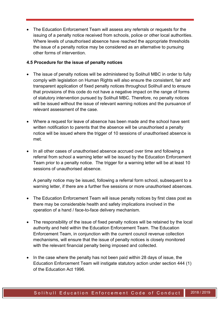The Education Enforcement Team will assess any referrals or requests for the issuing of a penalty notice received from schools, police or other local authorities. Where levels of unauthorised absence have reached the appropriate thresholds the issue of a penalty notice may be considered as an alternative to pursuing other forms of intervention.

#### **4.5 Procedure for the issue of penalty notices**

- The issue of penalty notices will be administered by Solihull MBC in order to fully comply with legislation on Human Rights will also ensure the consistent, fair and transparent application of fixed penalty notices throughout Solihull and to ensure that provisions of this code do not have a negative impact on the range of forms of statutory intervention pursued by Solihull MBC. Therefore, no penalty notices will be issued without the issue of relevant warning notices and the pursuance of relevant assessment of the case.
- Where a request for leave of absence has been made and the school have sent written notification to parents that the absence will be unauthorised a penalty notice will be issued where the trigger of 10 sessions of unauthorised absence is met.
- In all other cases of unauthorised absence accrued over time and following a referral from school a warning letter will be issued by the Education Enforcement Team prior to a penalty notice. The trigger for a warning letter will be at least 10 sessions of unauthorised absence.

A penalty notice may be issued, following a referral form school, subsequent to a warning letter, if there are a further five sessions or more unauthorised absences.

- The Education Enforcement Team will issue penalty notices by first class post as there may be considerable health and safety implications involved in the operation of a hand / face-to-face delivery mechanism.
- The responsibility of the issue of fixed penalty notices will be retained by the local authority and held within the Education Enforcement Team. The Education Enforcement Team, in conjunction with the current council revenue collection mechanisms, will ensure that the issue of penalty notices is closely monitored with the relevant financial penalty being imposed and collected.
- In the case where the penalty has not been paid within 28 days of issue, the Education Enforcement Team will instigate statutory action under section 444 (1) of the Education Act 1996.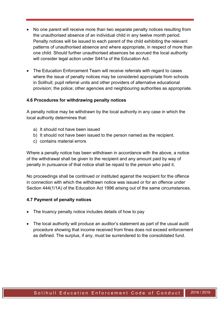- No one parent will receive more than two separate penalty notices resulting from the unauthorised absence of an individual child in any twelve month period. Penalty notices will be issued to each parent of the child exhibiting the relevant patterns of unauthorised absence and where appropriate, in respect of more than one child. Should further unauthorised absences be accrued the local authority will consider legal action under S441a of the Education Act.
- The Education Enforcement Team will receive referrals with regard to cases where the issue of penalty notices may be considered appropriate from schools in Solihull; pupil referral units and other providers of alternative educational provision; the police; other agencies and neighbouring authorities as appropriate.

#### **4.6 Procedures for withdrawing penalty notices**

A penalty notice may be withdrawn by the local authority in any case in which the local authority determines that:

- a) It should not have been issued
- b) It should not have been issued to the person named as the recipient.
- c) contains material errors

Where a penalty notice has been withdrawn in accordance with the above, a notice of the withdrawal shall be given to the recipient and any amount paid by way of penalty in pursuance of that notice shall be repaid to the person who paid it.

No proceedings shall be continued or instituted against the recipient for the offence in connection with which the withdrawn notice was issued or for an offence under Section 444(1/1A) of the Education Act 1996 arising out of the same circumstances.

#### **4.7 Payment of penalty notices**

- The truancy penalty notice includes details of how to pay
- The local authority will produce an auditor's statement as part of the usual audit procedure showing that income received from fines does not exceed enforcement as defined. The surplus, if any, must be surrendered to the consolidated fund.